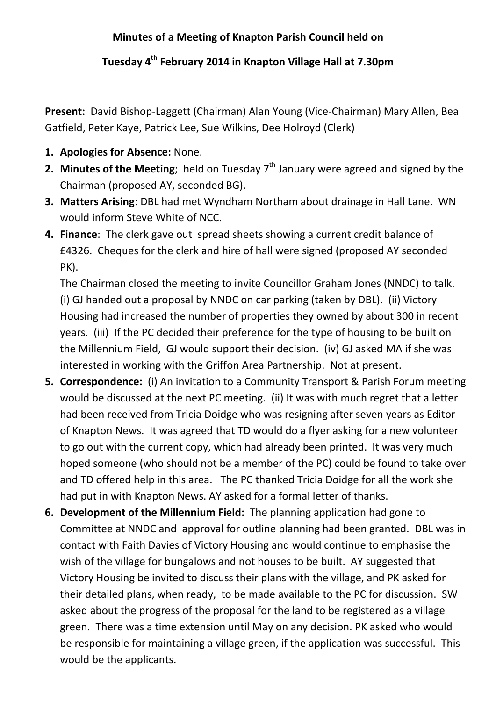## **Minutes of a Meeting of Knapton Parish Council held on**

## **Tuesday 4th February 2014 in Knapton Village Hall at 7.30pm**

**Present:** David Bishop-Laggett (Chairman) Alan Young (Vice-Chairman) Mary Allen, Bea Gatfield, Peter Kaye, Patrick Lee, Sue Wilkins, Dee Holroyd (Clerk)

- **1. Apologies for Absence:** None.
- **2. Minutes of the Meeting**; held on Tuesday 7<sup>th</sup> January were agreed and signed by the Chairman (proposed AY, seconded BG).
- **3. Matters Arising**: DBL had met Wyndham Northam about drainage in Hall Lane. WN would inform Steve White of NCC.
- **4. Finance**: The clerk gave out spread sheets showing a current credit balance of £4326. Cheques for the clerk and hire of hall were signed (proposed AY seconded PK).

The Chairman closed the meeting to invite Councillor Graham Jones (NNDC) to talk. (i) GJ handed out a proposal by NNDC on car parking (taken by DBL). (ii) Victory Housing had increased the number of properties they owned by about 300 in recent years. (iii) If the PC decided their preference for the type of housing to be built on the Millennium Field, GJ would support their decision. (iv) GJ asked MA if she was interested in working with the Griffon Area Partnership. Not at present.

- **5. Correspondence:** (i) An invitation to a Community Transport & Parish Forum meeting would be discussed at the next PC meeting. (ii) It was with much regret that a letter had been received from Tricia Doidge who was resigning after seven years as Editor of Knapton News. It was agreed that TD would do a flyer asking for a new volunteer to go out with the current copy, which had already been printed. It was very much hoped someone (who should not be a member of the PC) could be found to take over and TD offered help in this area. The PC thanked Tricia Doidge for all the work she had put in with Knapton News. AY asked for a formal letter of thanks.
- **6. Development of the Millennium Field:** The planning application had gone to Committee at NNDC and approval for outline planning had been granted. DBL was in contact with Faith Davies of Victory Housing and would continue to emphasise the wish of the village for bungalows and not houses to be built. AY suggested that Victory Housing be invited to discuss their plans with the village, and PK asked for their detailed plans, when ready, to be made available to the PC for discussion. SW asked about the progress of the proposal for the land to be registered as a village green. There was a time extension until May on any decision. PK asked who would be responsible for maintaining a village green, if the application was successful. This would be the applicants.